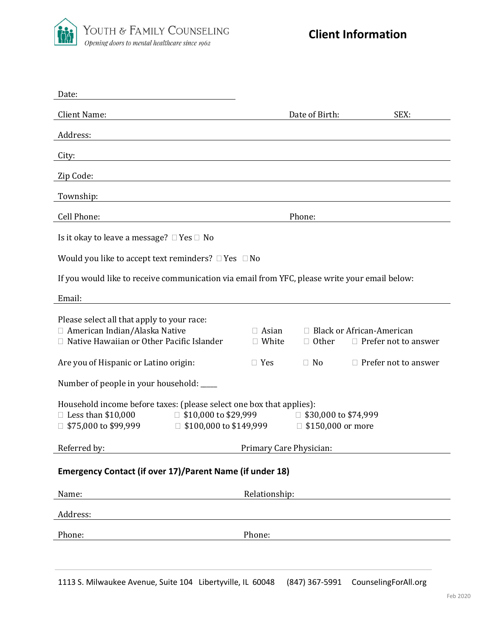

| Date:                                                                                                                                                           |                               |                                                         |                                                            |
|-----------------------------------------------------------------------------------------------------------------------------------------------------------------|-------------------------------|---------------------------------------------------------|------------------------------------------------------------|
| <b>Client Name:</b>                                                                                                                                             |                               | Date of Birth:                                          | SEX:                                                       |
| Address:                                                                                                                                                        |                               |                                                         |                                                            |
| City:                                                                                                                                                           |                               |                                                         |                                                            |
| Zip Code:                                                                                                                                                       |                               |                                                         |                                                            |
| Township:                                                                                                                                                       |                               |                                                         |                                                            |
| Cell Phone:                                                                                                                                                     | Phone:                        |                                                         |                                                            |
| Is it okay to leave a message? $\Box$ Yes $\Box$ No                                                                                                             |                               |                                                         |                                                            |
| Would you like to accept text reminders? $\Box$ Yes $\Box$ No                                                                                                   |                               |                                                         |                                                            |
| If you would like to receive communication via email from YFC, please write your email below:                                                                   |                               |                                                         |                                                            |
| Email:                                                                                                                                                          |                               |                                                         |                                                            |
| Please select all that apply to your race:<br>□ American Indian/Alaska Native<br>Native Hawaiian or Other Pacific Islander                                      | $\Box$ Asian<br>$\Box$ White  | $\Box$ Other                                            | □ Black or African-American<br>$\Box$ Prefer not to answer |
| Are you of Hispanic or Latino origin:                                                                                                                           | $\Box$ Yes                    | $\Box$ No                                               | $\Box$ Prefer not to answer                                |
| Number of people in your household: ____                                                                                                                        |                               |                                                         |                                                            |
| Household income before taxes: (please select one box that applies):<br>$\Box$ \$10,000 to \$29,999<br>$\Box$ Less than \$10,000<br>$\Box$ \$75,000 to \$99,999 | $\Box$ \$100,000 to \$149,999 | $\Box$ \$30,000 to \$74,999<br>$\Box$ \$150,000 or more |                                                            |
| Referred by:                                                                                                                                                    | Primary Care Physician:       |                                                         |                                                            |
| Emergency Contact (if over 17)/Parent Name (if under 18)                                                                                                        |                               |                                                         |                                                            |
| Name:                                                                                                                                                           | Relationship:                 |                                                         |                                                            |
| Address:                                                                                                                                                        |                               |                                                         |                                                            |
|                                                                                                                                                                 |                               |                                                         |                                                            |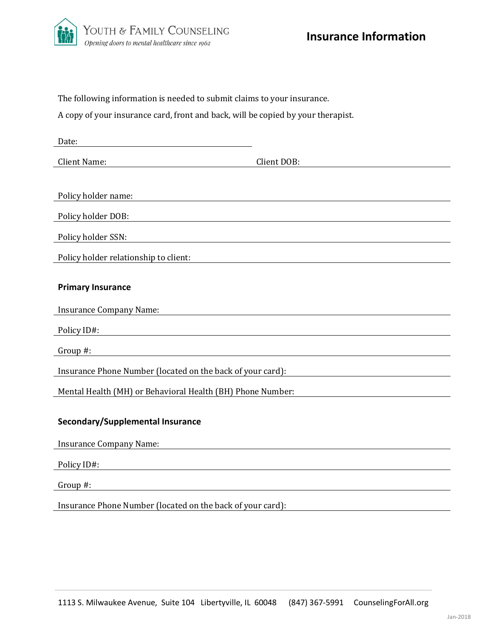

| The following information is needed to submit claims to your insurance. |
|-------------------------------------------------------------------------|
|                                                                         |

A copy of your insurance card, front and back, will be copied by your therapist.

| Date:                                                      |             |
|------------------------------------------------------------|-------------|
| <b>Client Name:</b>                                        | Client DOB: |
|                                                            |             |
| Policy holder name:                                        |             |
| Policy holder DOB:                                         |             |
| Policy holder SSN:                                         |             |
| Policy holder relationship to client:                      |             |
| <b>Primary Insurance</b>                                   |             |
|                                                            |             |
| <b>Insurance Company Name:</b>                             |             |
| Policy ID#:                                                |             |
| Group #:                                                   |             |
| Insurance Phone Number (located on the back of your card): |             |
| Mental Health (MH) or Behavioral Health (BH) Phone Number: |             |
|                                                            |             |
| Secondary/Supplemental Insurance                           |             |
| <b>Insurance Company Name:</b>                             |             |
| Policy ID#:                                                |             |
| Group #:                                                   |             |
|                                                            |             |

Insurance Phone Number (located on the back of your card):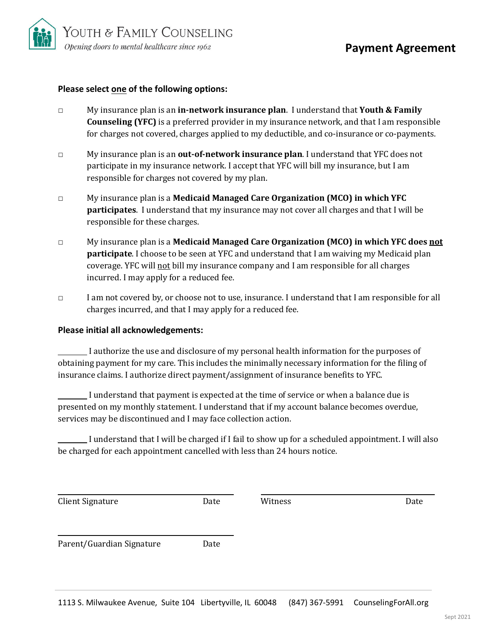

### **Please select one of the following options:**

- □ My insurance plan is an **in-network insurance plan**. I understand that **Youth & Family Counseling (YFC)** is a preferred provider in my insurance network, and that I am responsible for charges not covered, charges applied to my deductible, and co-insurance or co-payments.
- □ My insurance plan is an **out-of-network insurance plan**. I understand that YFC does not participate in my insurance network. I accept that YFC will bill my insurance, but I am responsible for charges not covered by my plan.
- □ My insurance plan is a **Medicaid Managed Care Organization (MCO) in which YFC participates**. I understand that my insurance may not cover all charges and that I will be responsible for these charges.
- □ My insurance plan is a **Medicaid Managed Care Organization (MCO) in which YFC does not participate**. I choose to be seen at YFC and understand that I am waiving my Medicaid plan coverage. YFC will not bill my insurance company and I am responsible for all charges incurred. I may apply for a reduced fee.
- □ I am not covered by, or choose not to use, insurance. I understand that I am responsible for all charges incurred, and that I may apply for a reduced fee.

#### **Please initial all acknowledgements:**

I authorize the use and disclosure of my personal health information for the purposes of obtaining payment for my care. This includes the minimally necessary information for the filing of insurance claims. I authorize direct payment/assignment of insurance benefits to YFC.

I understand that payment is expected at the time of service or when a balance due is presented on my monthly statement. I understand that if my account balance becomes overdue, services may be discontinued and I may face collection action.

I understand that I will be charged if I fail to show up for a scheduled appointment. I will also be charged for each appointment cancelled with less than 24 hours notice.

| <b>Client Signature</b>   | Date | Witness | Date |
|---------------------------|------|---------|------|
| Parent/Guardian Signature | Date |         |      |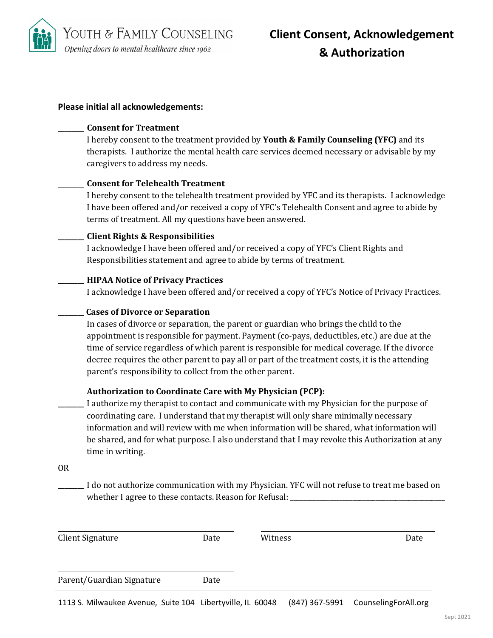

# **Please initial all acknowledgements:**

#### **\_\_\_\_\_\_\_\_ Consent for Treatment**

I hereby consent to the treatment provided by **Youth & Family Counseling (YFC)** and its therapists. I authorize the mental health care services deemed necessary or advisable by my caregivers to address my needs.

# **\_\_\_\_\_\_\_\_ Consent for Telehealth Treatment**

I hereby consent to the telehealth treatment provided by YFC and its therapists. I acknowledge I have been offered and/or received a copy of YFC's Telehealth Consent and agree to abide by terms of treatment. All my questions have been answered.

# **\_\_\_\_\_\_\_\_ Client Rights & Responsibilities**

I acknowledge I have been offered and/or received a copy of YFC's Client Rights and Responsibilities statement and agree to abide by terms of treatment.

# **\_\_\_\_\_\_\_\_ HIPAA Notice of Privacy Practices**

I acknowledge I have been offered and/or received a copy of YFC's Notice of Privacy Practices.

# **\_\_\_\_\_\_\_\_ Cases of Divorce or Separation**

In cases of divorce or separation, the parent or guardian who brings the child to the appointment is responsible for payment. Payment (co-pays, deductibles, etc.) are due at the time of service regardless of which parent is responsible for medical coverage. If the divorce decree requires the other parent to pay all or part of the treatment costs, it is the attending parent's responsibility to collect from the other parent.

# **Authorization to Coordinate Care with My Physician (PCP):**

**\_\_\_\_\_\_\_\_** I authorize my therapist to contact and communicate with my Physician for the purpose of coordinating care. I understand that my therapist will only share minimally necessary information and will review with me when information will be shared, what information will be shared, and for what purpose. I also understand that I may revoke this Authorization at any time in writing.

OR

**\_\_\_\_\_\_\_\_** I do not authorize communication with my Physician. YFC will not refuse to treat me based on whether I agree to these contacts. Reason for Refusal: \_\_\_\_\_\_\_\_\_\_\_\_\_\_\_\_\_\_\_\_\_\_\_\_\_

| <b>Client Signature</b>   | Date | Witness | Date |
|---------------------------|------|---------|------|
| Parent/Guardian Signature | Date |         |      |

1113 S. Milwaukee Avenue, Suite 104 Libertyville, IL 60048 (847) 367-5991 CounselingForAll.org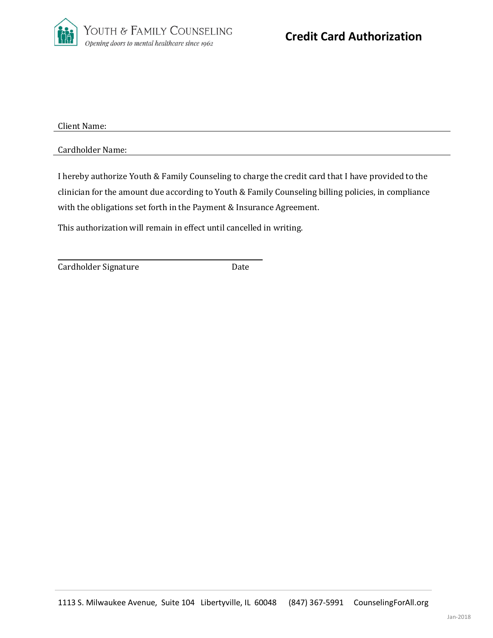

Client Name:

Cardholder Name:

I hereby authorize Youth & Family Counseling to charge the credit card that I have provided to the clinician for the amount due according to Youth & Family Counseling billing policies, in compliance with the obligations set forth in the Payment & Insurance Agreement.

This authorization will remain in effect until cancelled in writing.

Cardholder Signature **Date**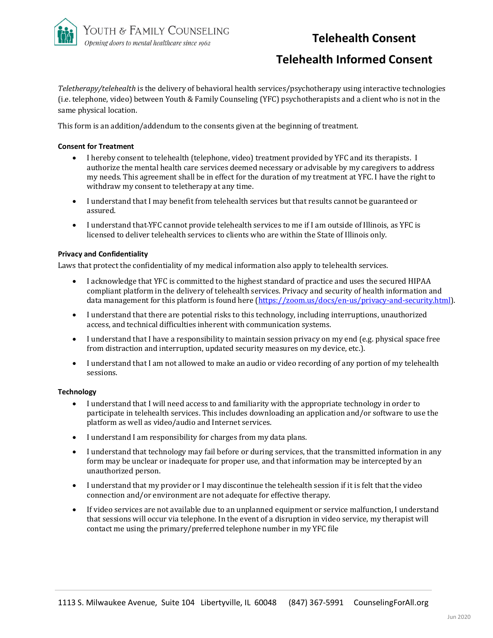

# **Telehealth Consent**

# **Telehealth Informed Consent**

*Teletherapy/telehealth* is the delivery of behavioral health services/psychotherapy using interactive technologies (i.e. telephone, video) between Youth & Family Counseling (YFC) psychotherapists and a client who is not in the same physical location.

This form is an addition/addendum to the consents given at the beginning of treatment.

#### **Consent for Treatment**

- I hereby consent to telehealth (telephone, video) treatment provided by YFC and its therapists. I authorize the mental health care services deemed necessary or advisable by my caregivers to address my needs. This agreement shall be in effect for the duration of my treatment at YFC. I have the right to withdraw my consent to teletherapy at any time.
- I understand that I may benefit from telehealth services but that results cannot be guaranteed or assured.
- I understand that YFC cannot provide telehealth services to me if I am outside of Illinois, as YFC is licensed to deliver telehealth services to clients who are within the State of Illinois only.

#### **Privacy and Confidentiality**

Laws that protect the confidentiality of my medical information also apply to telehealth services.

- I acknowledge that YFC is committed to the highest standard of practice and uses the secured HIPAA compliant platform in the delivery of telehealth services. Privacy and security of health information and data management for this platform is found here [\(https://zoom.us/docs/en-us/privacy-and-security.html\)](https://zoom.us/docs/en-us/privacy-and-security.html).
- I understand that there are potential risks to this technology, including interruptions, unauthorized access, and technical difficulties inherent with communication systems.
- I understand that I have a responsibility to maintain session privacy on my end (e.g. physical space free from distraction and interruption, updated security measures on my device, etc.).
- I understand that I am not allowed to make an audio or video recording of any portion of my telehealth sessions.

#### **Technology**

- I understand that I will need access to and familiarity with the appropriate technology in order to participate in telehealth services. This includes downloading an application and/or software to use the platform as well as video/audio and Internet services.
- I understand I am responsibility for charges from my data plans.
- I understand that technology may fail before or during services, that the transmitted information in any form may be unclear or inadequate for proper use, and that information may be intercepted by an unauthorized person.
- I understand that my provider or I may discontinue the telehealth session if it is felt that the video connection and/or environment are not adequate for effective therapy.
- If video services are not available due to an unplanned equipment or service malfunction, I understand that sessions will occur via telephone. In the event of a disruption in video service, my therapist will contact me using the primary/preferred telephone number in my YFC file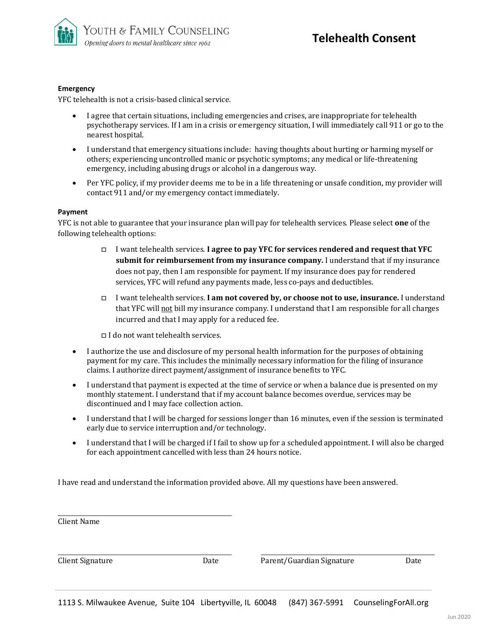

#### **Emergency**

YFC telehealth is not a crisis-based clinical service.

- I agree that certain situations, including emergencies and crises, are inappropriate for telehealth psychotherapy services. If I am in a crisis or emergency situation, I will immediately call 911 or go to the nearest hospital.
- I understand that emergency situations include: having thoughts about hurting or harming myself or others; experiencing uncontrolled manic or psychotic symptoms; any medical or life-threatening emergency, including abusing drugs or alcohol in a dangerous way.
- Per YFC policy, if my provider deems me to be in a life threatening or unsafe condition, my provider will contact 911 and/or my emergency contact immediately.

#### **Payment**

YFC is not able to guarantee that your insurance plan will pay for telehealth services. Please select **one** of the following telehealth options:

- □ I want telehealth services. **I agree to pay YFC for services rendered and request that YFC submit for reimbursement from my insurance company.** I understand that if my insurance does not pay, then I am responsible for payment. If my insurance does pay for rendered services, YFC will refund any payments made, less co-pays and deductibles.
- □ I want telehealth services. **I am not covered by, or choose not to use, insurance.** I understand that YFC will not bill my insurance company. I understand that I am responsible for all charges incurred and that I may apply for a reduced fee.

□ I do not want telehealth services.

- I authorize the use and disclosure of my personal health information for the purposes of obtaining payment for my care. This includes the minimally necessary information for the filing of insurance claims. I authorize direct payment/assignment of insurance benefits to YFC.
- I understand that payment is expected at the time of service or when a balance due is presented on my monthly statement. I understand that if my account balance becomes overdue, services may be discontinued and I may face collection action.
- I understand that I will be charged for sessions longer than 16 minutes, even if the session is terminated early due to service interruption and/or technology.
- I understand that I will be charged if I fail to show up for a scheduled appointment. I will also be charged for each appointment cancelled with less than 24 hours notice.

I have read and understand the information provided above. All my questions have been answered.

| Client Name             |      |                           |      |
|-------------------------|------|---------------------------|------|
|                         |      |                           |      |
| <b>Client Signature</b> | Date | Parent/Guardian Signature | Date |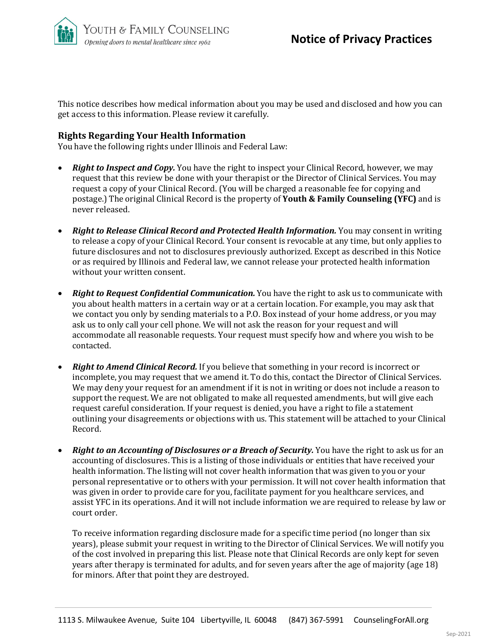

This notice describes how medical information about you may be used and disclosed and how you can get access to this information. Please review it carefully.

# **Rights Regarding Your Health Information**

You have the following rights under Illinois and Federal Law:

- *Right to Inspect and Copy.* You have the right to inspect your Clinical Record, however, we may request that this review be done with your therapist or the Director of Clinical Services. You may request a copy of your Clinical Record. (You will be charged a reasonable fee for copying and postage.) The original Clinical Record is the property of **Youth & Family Counseling (YFC)** and is never released.
- **Right to Release Clinical Record and Protected Health Information.** You may consent in writing to release a copy of your Clinical Record. Your consent is revocable at any time, but only applies to future disclosures and not to disclosures previously authorized. Except as described in this Notice or as required by Illinois and Federal law, we cannot release your protected health information without your written consent.
- *Right to Request Confidential Communication.* You have the right to ask us to communicate with you about health matters in a certain way or at a certain location. For example, you may ask that we contact you only by sending materials to a P.O. Box instead of your home address, or you may ask us to only call your cell phone. We will not ask the reason for your request and will accommodate all reasonable requests. Your request must specify how and where you wish to be contacted.
- *Right to Amend Clinical Record.* If you believe that something in your record is incorrect or incomplete, you may request that we amend it. To do this, contact the Director of Clinical Services. We may deny your request for an amendment if it is not in writing or does not include a reason to support the request. We are not obligated to make all requested amendments, but will give each request careful consideration. If your request is denied, you have a right to file a statement outlining your disagreements or objections with us. This statement will be attached to your Clinical Record.
- *Right to an Accounting of Disclosures or a Breach of Security.* You have the right to ask us for an accounting of disclosures. This is a listing of those individuals or entities that have received your health information. The listing will not cover health information that was given to you or your personal representative or to others with your permission. It will not cover health information that was given in order to provide care for you, facilitate payment for you healthcare services, and assist YFC in its operations. And it will not include information we are required to release by law or court order.

To receive information regarding disclosure made for a specific time period (no longer than six years), please submit your request in writing to the Director of Clinical Services. We will notify you of the cost involved in preparing this list. Please note that Clinical Records are only kept for seven years after therapy is terminated for adults, and for seven years after the age of majority (age 18) for minors. After that point they are destroyed.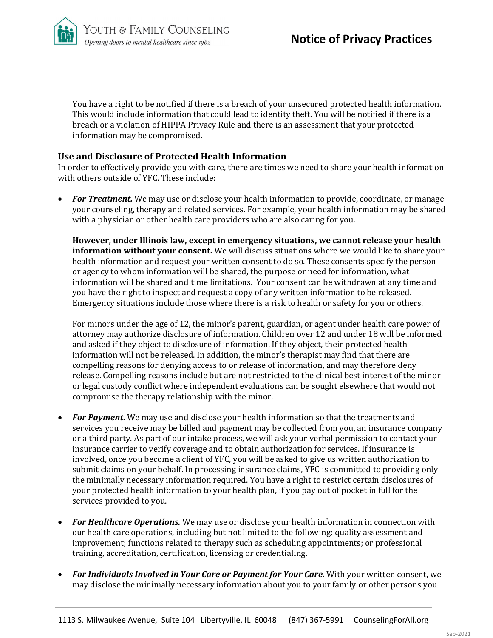You have a right to be notified if there is a breach of your unsecured protected health information. This would include information that could lead to identity theft. You will be notified if there is a breach or a violation of HIPPA Privacy Rule and there is an assessment that your protected information may be compromised.

# **Use and Disclosure of Protected Health Information**

In order to effectively provide you with care, there are times we need to share your health information with others outside of YFC. These include:

• *For Treatment.* We may use or disclose your health information to provide, coordinate, or manage your counseling, therapy and related services. For example, your health information may be shared with a physician or other health care providers who are also caring for you.

**However, under Illinois law, except in emergency situations, we cannot release your health information without your consent.** We will discuss situations where we would like to share your health information and request your written consent to do so. These consents specify the person or agency to whom information will be shared, the purpose or need for information, what information will be shared and time limitations. Your consent can be withdrawn at any time and you have the right to inspect and request a copy of any written information to be released. Emergency situations include those where there is a risk to health or safety for you or others.

For minors under the age of 12, the minor's parent, guardian, or agent under health care power of attorney may authorize disclosure of information. Children over 12 and under 18 will be informed and asked if they object to disclosure of information. If they object, their protected health information will not be released. In addition, the minor's therapist may find that there are compelling reasons for denying access to or release of information, and may therefore deny release. Compelling reasons include but are not restricted to the clinical best interest of the minor or legal custody conflict where independent evaluations can be sought elsewhere that would not compromise the therapy relationship with the minor.

- *For Payment***.** We may use and disclose your health information so that the treatments and services you receive may be billed and payment may be collected from you, an insurance company or a third party. As part of our intake process, we will ask your verbal permission to contact your insurance carrier to verify coverage and to obtain authorization for services. If insurance is involved, once you become a client of YFC, you will be asked to give us written authorization to submit claims on your behalf. In processing insurance claims, YFC is committed to providing only the minimally necessary information required. You have a right to restrict certain disclosures of your protected health information to your health plan, if you pay out of pocket in full for the services provided to you.
- *For Healthcare Operations.* We may use or disclose your health information in connection with our health care operations, including but not limited to the following: quality assessment and improvement; functions related to therapy such as scheduling appointments; or professional training, accreditation, certification, licensing or credentialing.
- For Individuals Involved in Your Care or Payment for Your Care. With your written consent, we may disclose the minimally necessary information about you to your family or other persons you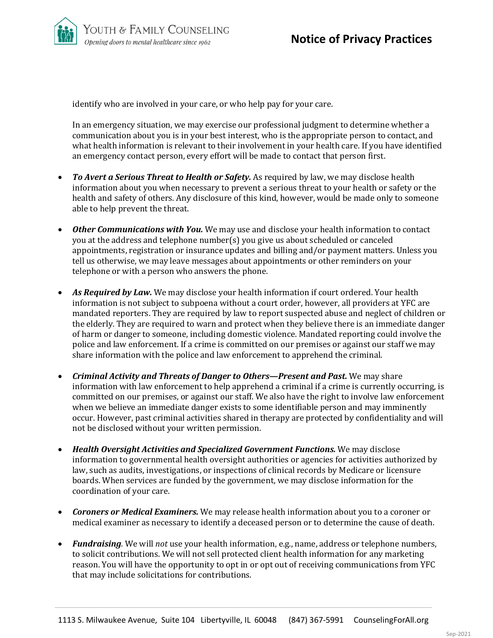identify who are involved in your care, or who help pay for your care.

In an emergency situation, we may exercise our professional judgment to determine whether a communication about you is in your best interest, who is the appropriate person to contact, and what health information is relevant to their involvement in your health care. If you have identified an emergency contact person, every effort will be made to contact that person first.

- *To Avert a Serious Threat to Health or Safety.* As required by law, we may disclose health information about you when necessary to prevent a serious threat to your health or safety or the health and safety of others. Any disclosure of this kind, however, would be made only to someone able to help prevent the threat.
- *Other Communications with You.* We may use and disclose your health information to contact you at the address and telephone number(s) you give us about scheduled or canceled appointments, registration or insurance updates and billing and/or payment matters. Unless you tell us otherwise, we may leave messages about appointments or other reminders on your telephone or with a person who answers the phone.
- *As Required by Law.* We may disclose your health information if court ordered. Your health information is not subject to subpoena without a court order, however, all providers at YFC are mandated reporters. They are required by law to report suspected abuse and neglect of children or the elderly. They are required to warn and protect when they believe there is an immediate danger of harm or danger to someone, including domestic violence. Mandated reporting could involve the police and law enforcement. If a crime is committed on our premises or against our staff we may share information with the police and law enforcement to apprehend the criminal.
- *Criminal Activity and Threats of Danger to Others—Present and Past.* We may share information with law enforcement to help apprehend a criminal if a crime is currently occurring, is committed on our premises, or against our staff. We also have the right to involve law enforcement when we believe an immediate danger exists to some identifiable person and may imminently occur. However, past criminal activities shared in therapy are protected by confidentiality and will not be disclosed without your written permission.
- *Health Oversight Activities and Specialized Government Functions.* We may disclose information to governmental health oversight authorities or agencies for activities authorized by law, such as audits, investigations, or inspections of clinical records by Medicare or licensure boards. When services are funded by the government, we may disclose information for the coordination of your care.
- *Coroners or Medical Examiners.* We may release health information about you to a coroner or medical examiner as necessary to identify a deceased person or to determine the cause of death.
- *Fundraising.* We will *not* use your health information, e.g., name, address or telephone numbers, to solicit contributions. We will not sell protected client health information for any marketing reason. You will have the opportunity to opt in or opt out of receiving communications from YFC that may include solicitations for contributions.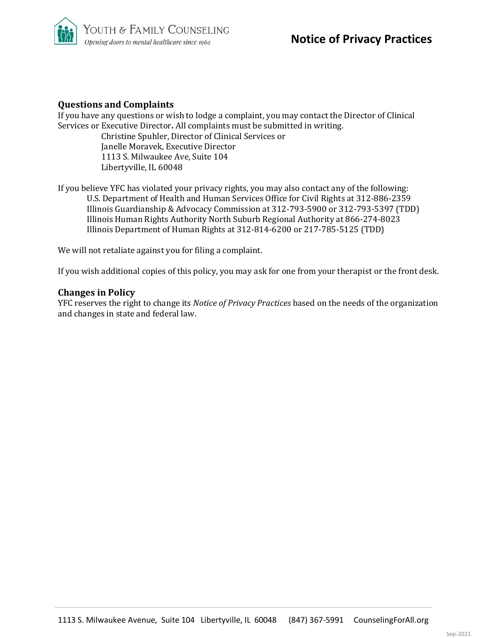

# **Questions and Complaints**

If you have any questions or wish to lodge a complaint, you may contact the Director of Clinical Services or Executive Director**.** All complaints must be submitted in writing. Christine Spuhler, Director of Clinical Services or Janelle Moravek, Executive Director 1113 S. Milwaukee Ave, Suite 104 Libertyville, IL 60048

If you believe YFC has violated your privacy rights, you may also contact any of the following: U.S. Department of Health and Human Services Office for Civil Rights at 312-886-2359 Illinois Guardianship & Advocacy Commission at 312-793-5900 or 312-793-5397 (TDD) Illinois Human Rights Authority North Suburb Regional Authority at 866-274-8023 Illinois Department of Human Rights at 312-814-6200 or 217-785-5125 (TDD)

We will not retaliate against you for filing a complaint.

If you wish additional copies of this policy, you may ask for one from your therapist or the front desk.

#### **Changes in Policy**

YFC reserves the right to change its *Notice of Privacy Practices* based on the needs of the organization and changes in state and federal law.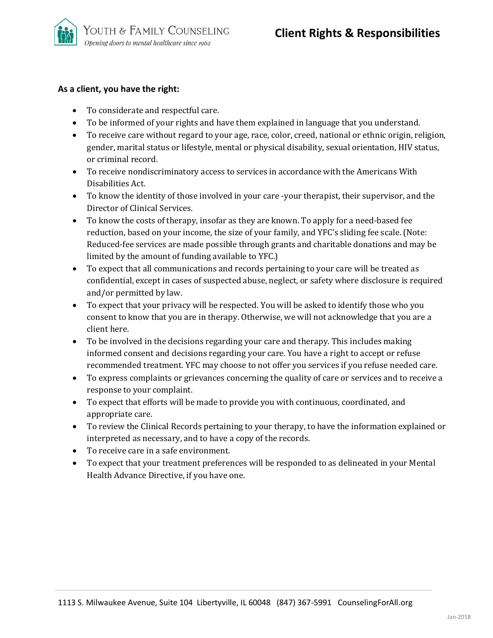

# **As a client, you have the right:**

- To considerate and respectful care.
- To be informed of your rights and have them explained in language that you understand.
- To receive care without regard to your age, race, color, creed, national or ethnic origin, religion, gender, marital status or lifestyle, mental or physical disability, sexual orientation, HIV status, or criminal record.
- To receive nondiscriminatory access to services in accordance with the Americans With Disabilities Act.
- To know the identity of those involved in your care -your therapist, their supervisor, and the Director of Clinical Services.
- To know the costs of therapy, insofar as they are known. To apply for a need-based fee reduction, based on your income, the size of your family, and YFC's sliding fee scale. (Note: Reduced-fee services are made possible through grants and charitable donations and may be limited by the amount of funding available to YFC.)
- To expect that all communications and records pertaining to your care will be treated as confidential, except in cases of suspected abuse, neglect, or safety where disclosure is required and/or permitted by law.
- To expect that your privacy will be respected. You will be asked to identify those who you consent to know that you are in therapy. Otherwise, we will not acknowledge that you are a client here.
- To be involved in the decisions regarding your care and therapy. This includes making informed consent and decisions regarding your care. You have a right to accept or refuse recommended treatment. YFC may choose to not offer you services if you refuse needed care.
- To express complaints or grievances concerning the quality of care or services and to receive a response to your complaint.
- To expect that efforts will be made to provide you with continuous, coordinated, and appropriate care.
- To review the Clinical Records pertaining to your therapy, to have the information explained or interpreted as necessary, and to have a copy of the records.
- To receive care in a safe environment.
- To expect that your treatment preferences will be responded to as delineated in your Mental Health Advance Directive, if you have one.